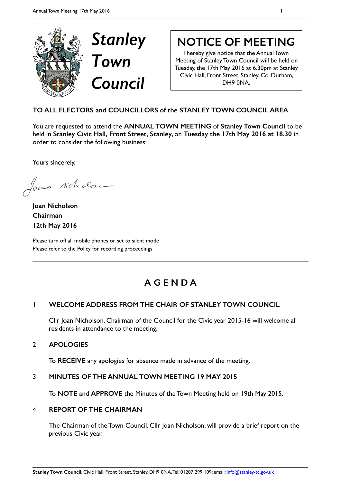

# **NOTICE OF MEETING**

I hereby give notice that the Annual Town Meeting of Stanley Town Council will be held on Tuesday, the 17th May 2016 at 6.30pm at Stanley Civic Hall, Front Street, Stanley, Co. Durham, DH9 0NA.

## **TO ALL ELECTORS and COUNCILLORS of the STANLEY TOWN COUNCIL AREA**

You are requested to attend the **ANNUAL TOWN MEETING** of **Stanley Town Council** to be held in **Stanley Civic Hall, Front Street, Stanley**, on **Tuesday the 17th May 2016 at 18.30** in order to consider the following business:

Yours sincerely,

Joan nichols -

**Joan Nicholson Chairman 12th May 2016** 

Please turn off all mobile phones or set to silent mode Please refer to the Policy for recording proceedings

## **A G E N D A**

## 1 **WELCOME ADDRESS FROM THE CHAIR OF STANLEY TOWN COUNCIL**

Cllr Joan Nicholson, Chairman of the Council for the Civic year 2015-16 will welcome all residents in attendance to the meeting.

## 2 **APOLOGIES**

To **RECEIVE** any apologies for absence made in advance of the meeting.

## 3 **MINUTES OF THE ANNUAL TOWN MEETING 19 MAY 2015**

To **NOTE** and **APPROVE** the Minutes of the Town Meeting held on 19th May 2015.

## 4 **REPORT OF THE CHAIRMAN**

The Chairman of the Town Council, Cllr Joan Nicholson, will provide a brief report on the previous Civic year.